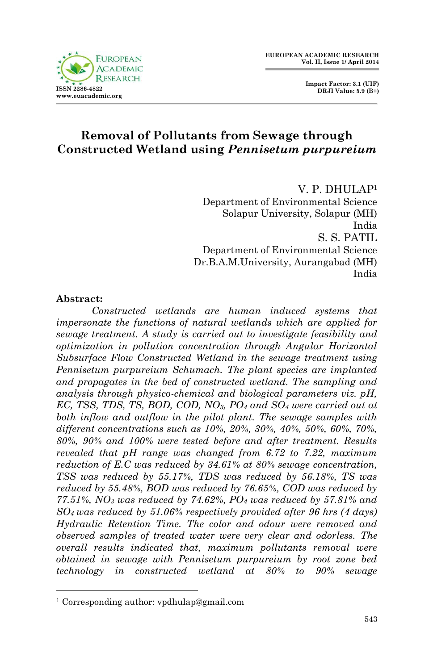

 **Impact Factor: 3.1 (UIF) DRJI Value: 5.9 (B+)**

# **Removal of Pollutants from Sewage through Constructed Wetland using** *Pennisetum purpureium*

V. P. DHULAP<sup>1</sup> Department of Environmental Science Solapur University, Solapur (MH) India S. S. PATIL Department of Environmental Science Dr.B.A.M.University, Aurangabad (MH) India

### **Abstract:**

1

*Constructed wetlands are human induced systems that impersonate the functions of natural wetlands which are applied for sewage treatment. A study is carried out to investigate feasibility and optimization in pollution concentration through Angular Horizontal Subsurface Flow Constructed Wetland in the sewage treatment using Pennisetum purpureium Schumach. The plant species are implanted and propagates in the bed of constructed wetland. The sampling and analysis through physico-chemical and biological parameters viz. pH, EC, TSS, TDS, TS, BOD, COD, NO3, PO<sup>4</sup> and SO<sup>4</sup> were carried out at both inflow and outflow in the pilot plant. The sewage samples with different concentrations such as 10%, 20%, 30%, 40%, 50%, 60%, 70%, 80%, 90% and 100% were tested before and after treatment. Results revealed that pH range was changed from 6.72 to 7.22, maximum reduction of E.C was reduced by 34.61% at 80% sewage concentration, TSS was reduced by 55.17%, TDS was reduced by 56.18%, TS was reduced by 55.48%, BOD was reduced by 76.65%, COD was reduced by 77.51%, NO<sup>3</sup> was reduced by 74.62%, PO<sup>4</sup> was reduced by 57.81% and SO4 was reduced by 51.06% respectively provided after 96 hrs (4 days) Hydraulic Retention Time. The color and odour were removed and observed samples of treated water were very clear and odorless. The overall results indicated that, maximum pollutants removal were obtained in sewage with Pennisetum purpureium by root zone bed technology in constructed wetland at 80% to 90% sewage* 

<sup>1</sup> Corresponding author: vpdhulap@gmail.com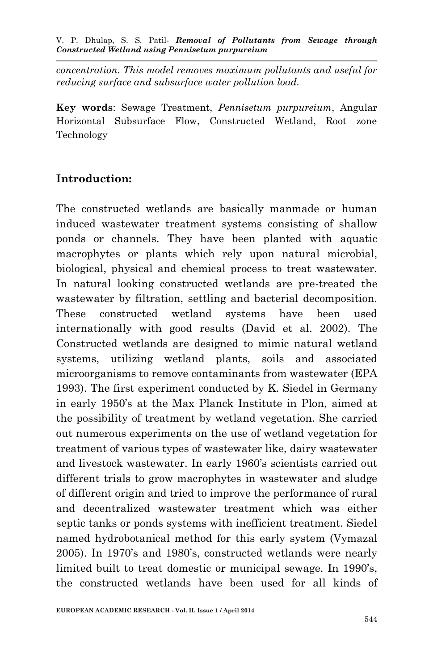*concentration. This model removes maximum pollutants and useful for reducing surface and subsurface water pollution load.*

**Key words**: Sewage Treatment, *Pennisetum purpureium*, Angular Horizontal Subsurface Flow, Constructed Wetland, Root zone Technology

# **Introduction:**

The constructed wetlands are basically manmade or human induced wastewater treatment systems consisting of shallow ponds or channels. They have been planted with aquatic macrophytes or plants which rely upon natural microbial, biological, physical and chemical process to treat wastewater. In natural looking constructed wetlands are pre-treated the wastewater by filtration, settling and bacterial decomposition. These constructed wetland systems have been used internationally with good results (David et al. 2002). The Constructed wetlands are designed to mimic natural wetland systems, utilizing wetland plants, soils and associated microorganisms to remove contaminants from wastewater (EPA 1993). The first experiment conducted by K. Siedel in Germany in early 1950's at the Max Planck Institute in Plon, aimed at the possibility of treatment by wetland vegetation. She carried out numerous experiments on the use of wetland vegetation for treatment of various types of wastewater like, dairy wastewater and livestock wastewater. In early 1960's scientists carried out different trials to grow macrophytes in wastewater and sludge of different origin and tried to improve the performance of rural and decentralized wastewater treatment which was either septic tanks or ponds systems with inefficient treatment. Siedel named hydrobotanical method for this early system (Vymazal 2005). In 1970's and 1980's, constructed wetlands were nearly limited built to treat domestic or municipal sewage. In 1990's, the constructed wetlands have been used for all kinds of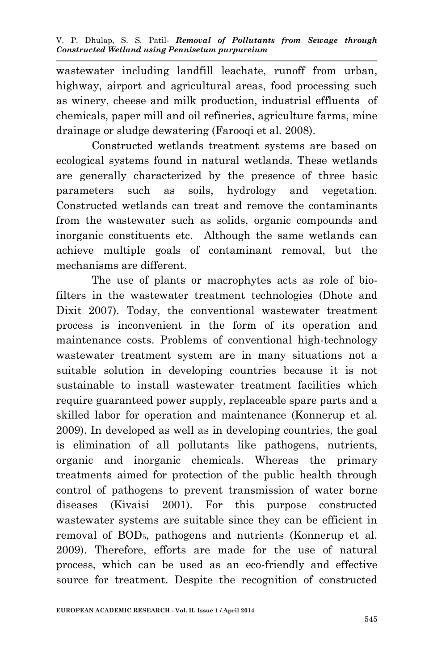wastewater including landfill leachate, runoff from urban, highway, airport and agricultural areas, food processing such as winery, cheese and milk production, industrial effluents of chemicals, paper mill and oil refineries, agriculture farms, mine drainage or sludge dewatering (Farooqi et al. 2008).

Constructed wetlands treatment systems are based on ecological systems found in natural wetlands. These wetlands are generally characterized by the presence of three basic parameters such as soils, hydrology and vegetation. Constructed wetlands can treat and remove the contaminants from the wastewater such as solids, organic compounds and inorganic constituents etc. Although the same wetlands can achieve multiple goals of contaminant removal, but the mechanisms are different.

The use of plants or macrophytes acts as role of biofilters in the wastewater treatment technologies (Dhote and Dixit 2007). Today, the conventional wastewater treatment process is inconvenient in the form of its operation and maintenance costs. Problems of conventional high-technology wastewater treatment system are in many situations not a suitable solution in developing countries because it is not sustainable to install wastewater treatment facilities which require guaranteed power supply, replaceable spare parts and a skilled labor for operation and maintenance (Konnerup et al. 2009). In developed as well as in developing countries, the goal is elimination of all pollutants like pathogens, nutrients, organic and inorganic chemicals. Whereas the primary treatments aimed for protection of the public health through control of pathogens to prevent transmission of water borne diseases (Kivaisi 2001). For this purpose constructed wastewater systems are suitable since they can be efficient in removal of BOD5, pathogens and nutrients (Konnerup et al. 2009). Therefore, efforts are made for the use of natural process, which can be used as an eco-friendly and effective source for treatment. Despite the recognition of constructed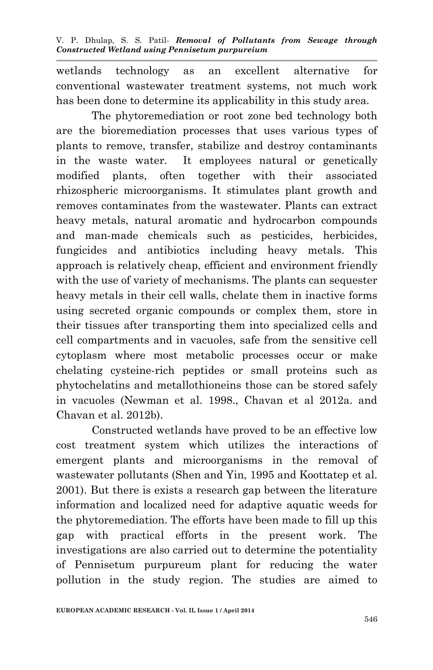wetlands technology as an excellent alternative for conventional wastewater treatment systems, not much work has been done to determine its applicability in this study area.

The phytoremediation or root zone bed technology both are the bioremediation processes that uses various types of plants to remove, transfer, stabilize and destroy contaminants in the waste water. It employees natural or genetically modified plants, often together with their associated rhizospheric microorganisms. It stimulates plant growth and removes contaminates from the wastewater. Plants can extract heavy metals, natural aromatic and hydrocarbon compounds and man-made chemicals such as pesticides, herbicides, fungicides and antibiotics including heavy metals. This approach is relatively cheap, efficient and environment friendly with the use of variety of mechanisms. The plants can sequester heavy metals in their cell walls, chelate them in inactive forms using secreted organic compounds or complex them, store in their tissues after transporting them into specialized cells and cell compartments and in vacuoles, safe from the sensitive cell cytoplasm where most metabolic processes occur or make chelating cysteine-rich peptides or small proteins such as phytochelatins and metallothioneins those can be stored safely in vacuoles (Newman et al. 1998., Chavan et al 2012a. and Chavan et al. 2012b).

Constructed wetlands have proved to be an effective low cost treatment system which utilizes the interactions of emergent plants and microorganisms in the removal of wastewater pollutants (Shen and Yin, 1995 and Koottatep et al. 2001). But there is exists a research gap between the literature information and localized need for adaptive aquatic weeds for the phytoremediation. The efforts have been made to fill up this gap with practical efforts in the present work. The investigations are also carried out to determine the potentiality of Pennisetum purpureum plant for reducing the water pollution in the study region. The studies are aimed to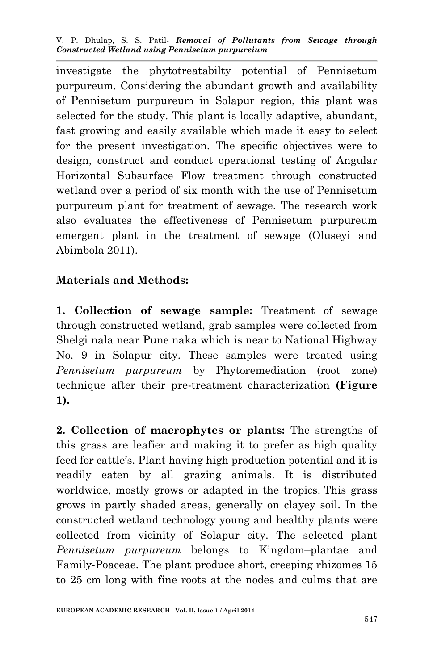investigate the phytotreatabilty potential of Pennisetum purpureum. Considering the abundant growth and availability of Pennisetum purpureum in Solapur region, this plant was selected for the study. This plant is locally adaptive, abundant, fast growing and easily available which made it easy to select for the present investigation. The specific objectives were to design, construct and conduct operational testing of Angular Horizontal Subsurface Flow treatment through constructed wetland over a period of six month with the use of Pennisetum purpureum plant for treatment of sewage. The research work also evaluates the effectiveness of Pennisetum purpureum emergent plant in the treatment of sewage (Oluseyi and Abimbola 2011).

## **Materials and Methods:**

**1. Collection of sewage sample:** Treatment of sewage through constructed wetland, grab samples were collected from Shelgi nala near Pune naka which is near to National Highway No. 9 in Solapur city. These samples were treated using *Pennisetum purpureum* by Phytoremediation (root zone) technique after their pre-treatment characterization **(Figure 1).**

**2. Collection of macrophytes or plants:** The strengths of this grass are leafier and making it to prefer as high quality feed for cattle's. Plant having high production potential and it is readily eaten by all grazing animals. It is distributed worldwide, mostly grows or adapted in the tropics. This grass grows in partly shaded areas, generally on clayey soil. In the constructed wetland technology young and healthy plants were collected from vicinity of Solapur city. The selected plant *Pennisetum purpureum* belongs to Kingdom–plantae and Family-Poaceae. The plant produce short, creeping rhizomes 15 to 25 cm long with fine roots at the nodes and culms that are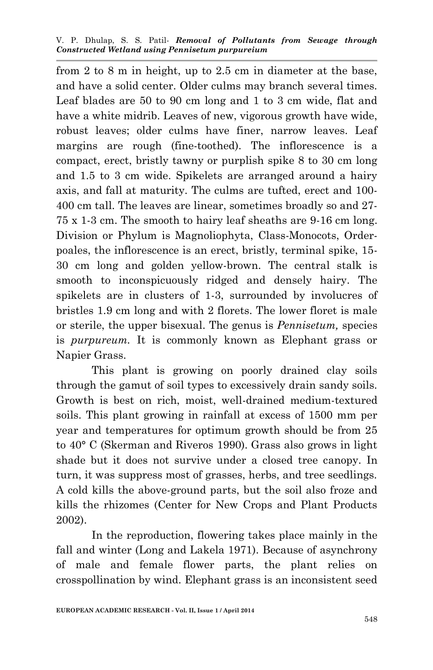from 2 to 8 m in height, up to 2.5 cm in diameter at the base, and have a solid center. Older culms may branch several times. Leaf blades are 50 to 90 cm long and 1 to 3 cm wide, flat and have a white midrib. Leaves of new, vigorous growth have wide, robust leaves; older culms have finer, narrow leaves. Leaf margins are rough (fine-toothed). The inflorescence is a compact, erect, bristly tawny or purplish spike 8 to 30 cm long and 1.5 to 3 cm wide. Spikelets are arranged around a hairy axis, and fall at maturity. The culms are tufted, erect and 100- 400 cm tall. The leaves are linear, sometimes broadly so and 27- 75 x 1-3 cm. The smooth to hairy leaf sheaths are 9-16 cm long. Division or Phylum is Magnoliophyta, Class-Monocots, Orderpoales, the inflorescence is an erect, bristly, terminal spike, 15- 30 cm long and golden yellow-brown. The central stalk is smooth to inconspicuously ridged and densely hairy. The spikelets are in clusters of 1-3, surrounded by involucres of bristles 1.9 cm long and with 2 florets. The lower floret is male or sterile, the upper bisexual. The genus is *Pennisetum,* species is *purpureum.* It is commonly known as Elephant grass or Napier Grass.

This plant is growing on poorly drained clay soils through the gamut of soil types to excessively drain sandy soils. Growth is best on rich, moist, well-drained medium-textured soils. This plant growing in rainfall at excess of 1500 mm per year and temperatures for optimum growth should be from 25 to 40° C (Skerman and Riveros 1990). Grass also grows in light shade but it does not survive under a closed tree canopy. In turn, it was suppress most of grasses, herbs, and tree seedlings. A cold kills the above-ground parts, but the soil also froze and kills the rhizomes (Center for New Crops and Plant Products 2002).

In the reproduction, flowering takes place mainly in the fall and winter (Long and Lakela 1971). Because of asynchrony of male and female flower parts, the plant relies on crosspollination by wind. Elephant grass is an inconsistent seed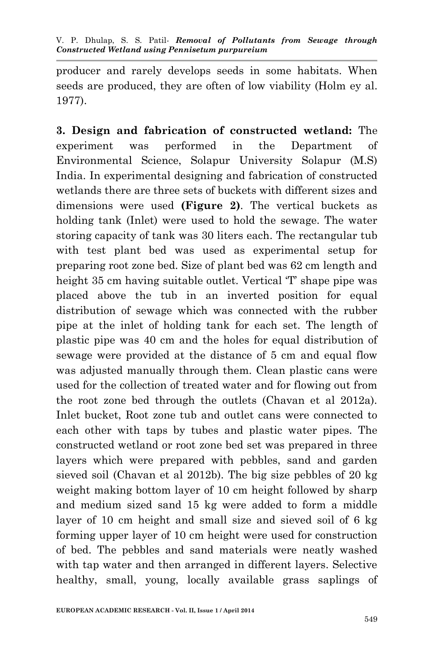producer and rarely develops seeds in some habitats. When seeds are produced, they are often of low viability (Holm ey al. 1977).

**3. Design and fabrication of constructed wetland:** The experiment was performed in the Department of Environmental Science, Solapur University Solapur (M.S) India. In experimental designing and fabrication of constructed wetlands there are three sets of buckets with different sizes and dimensions were used **(Figure 2)**. The vertical buckets as holding tank (Inlet) were used to hold the sewage. The water storing capacity of tank was 30 liters each. The rectangular tub with test plant bed was used as experimental setup for preparing root zone bed. Size of plant bed was 62 cm length and height 35 cm having suitable outlet. Vertical 'T' shape pipe was placed above the tub in an inverted position for equal distribution of sewage which was connected with the rubber pipe at the inlet of holding tank for each set. The length of plastic pipe was 40 cm and the holes for equal distribution of sewage were provided at the distance of 5 cm and equal flow was adjusted manually through them. Clean plastic cans were used for the collection of treated water and for flowing out from the root zone bed through the outlets (Chavan et al 2012a). Inlet bucket, Root zone tub and outlet cans were connected to each other with taps by tubes and plastic water pipes. The constructed wetland or root zone bed set was prepared in three layers which were prepared with pebbles, sand and garden sieved soil (Chavan et al 2012b). The big size pebbles of 20 kg weight making bottom layer of 10 cm height followed by sharp and medium sized sand 15 kg were added to form a middle layer of 10 cm height and small size and sieved soil of 6 kg forming upper layer of 10 cm height were used for construction of bed. The pebbles and sand materials were neatly washed with tap water and then arranged in different layers. Selective healthy, small, young, locally available grass saplings of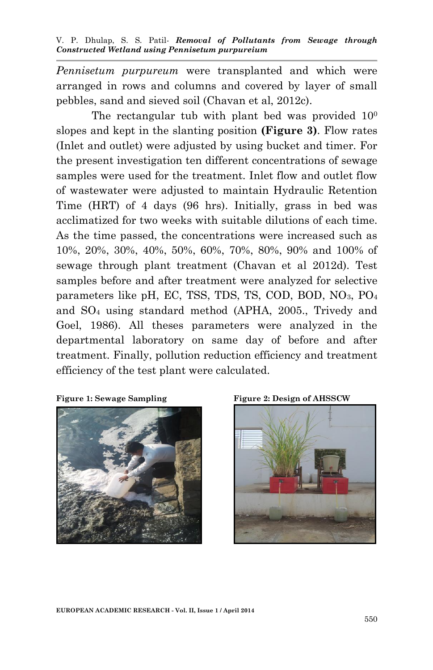*Pennisetum purpureum* were transplanted and which were arranged in rows and columns and covered by layer of small pebbles, sand and sieved soil (Chavan et al, 2012c).

The rectangular tub with plant bed was provided  $10<sup>0</sup>$ slopes and kept in the slanting position **(Figure 3)**. Flow rates (Inlet and outlet) were adjusted by using bucket and timer. For the present investigation ten different concentrations of sewage samples were used for the treatment. Inlet flow and outlet flow of wastewater were adjusted to maintain Hydraulic Retention Time (HRT) of 4 days (96 hrs). Initially, grass in bed was acclimatized for two weeks with suitable dilutions of each time. As the time passed, the concentrations were increased such as 10%, 20%, 30%, 40%, 50%, 60%, 70%, 80%, 90% and 100% of sewage through plant treatment (Chavan et al 2012d). Test samples before and after treatment were analyzed for selective parameters like pH, EC, TSS, TDS, TS, COD, BOD, NO3, PO<sup>4</sup> and SO<sup>4</sup> using standard method (APHA, 2005., Trivedy and Goel, 1986). All theses parameters were analyzed in the departmental laboratory on same day of before and after treatment. Finally, pollution reduction efficiency and treatment efficiency of the test plant were calculated.



**Figure 1: Sewage Sampling Figure 2: Design of AHSSCW** 

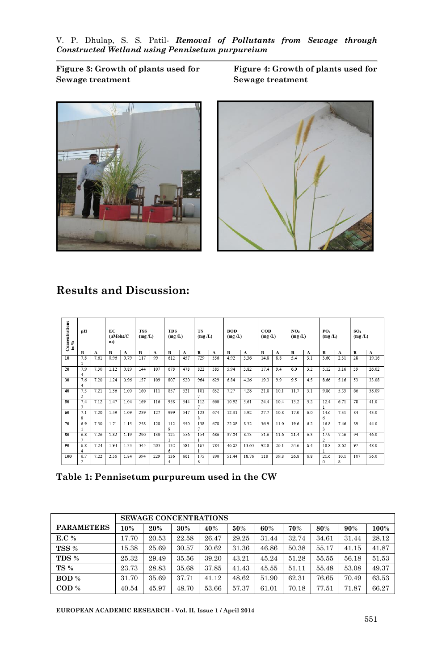**Sewage treatment Sewage treatment**

Figure 3: Growth of plants used for Figure 4: Growth of plants used for



## **Results and Discussion:**

| Concentrations<br>in % | pH             |      | ЕC<br>$(\mu Mohs/C)$<br>m) |      | <b>TSS</b><br>(mg/L) |              | <b>TDS</b><br>(mg/L) |              | <b>TS</b><br>(mg/L) |     | <b>BOD</b><br>(mg/L) |              | $_{\rm{cop}}$<br>(mg/L) |              | NO <sub>3</sub><br>(mg/L) |     | PO <sub>4</sub><br>(mg/L) |      | SO <sub>4</sub><br>(mg/L) |              |
|------------------------|----------------|------|----------------------------|------|----------------------|--------------|----------------------|--------------|---------------------|-----|----------------------|--------------|-------------------------|--------------|---------------------------|-----|---------------------------|------|---------------------------|--------------|
|                        | B              | A    | B                          | A    | B                    | $\mathbf{A}$ | в                    | $\mathbf{A}$ | B                   | A   | B                    | $\mathbf{A}$ | B                       | $\mathbf{A}$ | B                         | A   | B                         | A    | в                         | $\mathbf{A}$ |
| 10                     | 7.8            | 7.61 | 0.96                       | 0.79 | 117                  | 99           | 612                  | 457          | 729                 | 556 | 4.92                 | 3.36         | 14.8                    | 8.8          | 5.4                       | 3.1 | 3.60                      | 2.31 | 28                        | 19.16        |
|                        |                |      |                            |      |                      |              |                      |              |                     |     |                      |              |                         |              |                           |     |                           |      |                           |              |
| 20                     | 7.9            | 7.30 | 1.12                       | 0.89 | 144                  | 107          | 678                  | 478          | 822                 | 585 | 5.94                 | 3.82         | 17.4                    | 9.4          | 6.0                       | 3.2 | 5.12                      | 3.16 | 39                        | 26.02        |
|                        | 4              |      |                            |      |                      |              |                      |              |                     |     |                      |              |                         |              |                           |     |                           |      |                           |              |
| 30                     | 7.6            | 7.20 | 1.24                       | 0.96 | 157                  | 109          | 807                  | 520          | 964                 | 629 | 6.84                 | 4.26         | 19.3                    | 9.9          | 9.5                       | 4.5 | 8.66                      | 5.16 | 53                        | 33.08        |
|                        | 4              |      |                            |      |                      |              |                      |              |                     |     |                      |              |                         |              |                           |     |                           |      |                           |              |
| 40                     | 7.5            | 7.21 | 1.36                       | 1.00 | 160                  | 111          | 857                  | 521          | 101                 | 632 | 7.27                 | 4.28         | 21.8                    | 10.1         | 11.7                      | 5.1 | 9.86                      | 5.53 | 66                        | 38.09        |
|                        | $\overline{c}$ |      |                            |      |                      |              |                      |              | $\overline{ }$      |     |                      |              |                         |              |                           |     |                           |      |                           |              |
| 50                     | 7.4            | 7.12 | 1.47                       | 1.04 | 169                  | 116          | 958                  | 544          | 112                 | 660 | 10.92                | 5.61         | 24.4                    | 10.4         | 13.2                      | 5.2 | 12.4                      | 6.71 | 78                        | 41.0         |
|                        | 7              |      |                            |      |                      |              |                      |              | $\tau$              |     |                      |              |                         |              |                           |     |                           |      |                           |              |
| 60                     | 7.1            | 7.20 | 1.59                       | 1.09 | 239                  | 127          | 999                  | 547          | 123                 | 674 | 12.31                | 5.92         | 27.7                    | 10.8         | 17.0                      | 6.0 | 14.6                      | 7.31 | 84                        | 43.0         |
|                        | Ŕ              |      |                            |      |                      |              |                      |              | s.                  |     |                      |              |                         |              |                           |     | 6                         |      |                           |              |
| 70                     | 6.9            | 7.30 | 1.71                       | 1.15 | 258                  | 128          | 112                  | 550          | 138                 | 678 | 22.08                | 8.32         | 36.9                    | 11.0         | 19.6                      | 6.2 | 16.8                      | 7.46 | 89                        | 44.0         |
|                        |                |      |                            |      |                      |              | 9                    |              | $\overline{ }$      |     |                      |              |                         |              |                           |     | $\overline{\mathbf{3}}$   |      |                           |              |
| 80                     | 6.8            | 7.26 | 1.82                       | 1.19 | 290                  | 130          | 125                  | 556          | 154                 | 686 | 37.04                | 8.73         | 51.6                    | 11.6         | 21.4                      | 6.3 | 17.9                      | 7.56 | 94                        | 46.0         |
|                        | 7              |      |                            |      |                      |              |                      |              |                     |     |                      |              |                         |              |                           |     | $\overline{c}$            |      |                           |              |
| 90                     | 6.8            | 7.24 | 1.94                       | 1.33 | 345                  | 203          | 132                  | 581          | 167                 | 784 | 46.02                | 13.63        | 92.8                    | 26.1         | 24.6                      | 6.4 | 18.8                      | 8.62 | 97                        | 48.0         |
|                        | $\overline{4}$ |      |                            |      |                      |              | 6                    |              |                     |     |                      |              |                         |              |                           |     |                           |      |                           |              |
| 100                    | 6.7            | 7.22 | 2.56                       | 1.84 | 394                  | 229          | 136                  | 661          | 175                 | 890 | 51.44                | 18.76        | 118                     | 39.8         | 26.8                      | 6.8 | 21.6                      | 10.1 | 107                       | 56.0         |
|                        | $\overline{c}$ |      |                            |      |                      |              | 4                    |              | 8                   |     |                      |              |                         |              |                           |     | $^{\circ}$                | 8    |                           |              |

**Table 1: Pennisetum purpureum used in the CW** 

|                            | <b>SEWAGE CONCENTRATIONS</b> |       |       |       |       |       |       |       |       |       |  |  |
|----------------------------|------------------------------|-------|-------|-------|-------|-------|-------|-------|-------|-------|--|--|
| <b>PARAMETERS</b>          | 10%                          | 20%   | 30%   | 40%   | 50%   | 60%   | 70%   | 80%   | 90%   | 100%  |  |  |
| E.C %                      | 17.70                        | 20.53 | 22.58 | 26.47 | 29.25 | 31.44 | 32.74 | 34.61 | 31.44 | 28.12 |  |  |
| TSS %                      | 15.38                        | 25.69 | 30.57 | 30.62 | 31.36 | 46.86 | 50.38 | 55.17 | 41.15 | 41.87 |  |  |
| TDS %                      | 25.32                        | 29.49 | 35.56 | 39.20 | 43.21 | 45.24 | 51.28 | 55.55 | 56.18 | 51.53 |  |  |
| <b>TS</b> %                | 23.73                        | 28.83 | 35.68 | 37.85 | 41.43 | 45.55 | 51.11 | 55.48 | 53.08 | 49.37 |  |  |
| BOD %                      | 31.70                        | 35.69 | 37.71 | 41.12 | 48.62 | 51.90 | 62.31 | 76.65 | 70.49 | 63.53 |  |  |
| $\mathbf{COD} \mathcal{C}$ | 40.54                        | 45.97 | 48.70 | 53.66 | 57.37 | 61.01 | 70.18 | 77.51 | 71.87 | 66.27 |  |  |

**EUROPEAN ACADEMIC RESEARCH - Vol. II, Issue 1 / April 2014**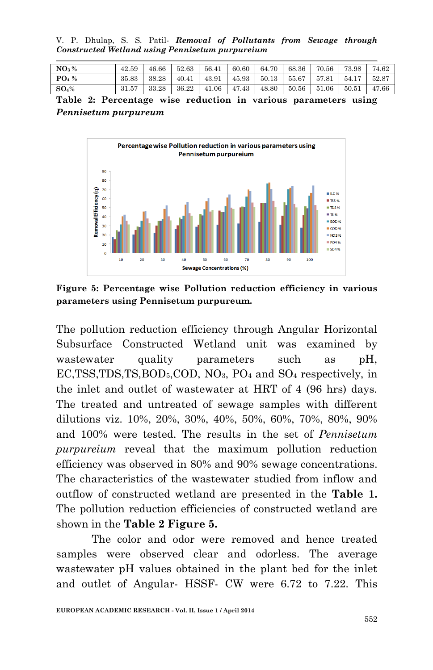V. P. Dhulap, S. S. Patil*- Removal of Pollutants from Sewage through Constructed Wetland using Pennisetum purpureium*

| $\rm{NO_3\,\%}$   | 42.59 | 46.66 | 52.63 | 56.41 | 60.60 | 64.70 | 68.36 | 70.56 | 73.98 | 74.62 |
|-------------------|-------|-------|-------|-------|-------|-------|-------|-------|-------|-------|
| $PO4$ %           | 35.83 | 38.28 | 40.41 | 43.91 | 45.93 | 50.13 | 55.67 | 57.81 | 54.17 | 52.87 |
| $\mathbf{SO}_4\%$ | 31.57 | 33.28 | 36.22 | 41.06 | 47.43 | 48.80 | 50.56 | 51.06 | 50.51 | 47.66 |

**Table 2: Percentage wise reduction in various parameters using**  *Pennisetum purpureum*



**Figure 5: Percentage wise Pollution reduction efficiency in various parameters using Pennisetum purpureum.**

The pollution reduction efficiency through Angular Horizontal Subsurface Constructed Wetland unit was examined by wastewater quality parameters such as pH, EC,TSS,TDS,TS,BOD5,COD, NO3, PO<sup>4</sup> and SO<sup>4</sup> respectively, in the inlet and outlet of wastewater at HRT of 4 (96 hrs) days. The treated and untreated of sewage samples with different dilutions viz. 10%, 20%, 30%, 40%, 50%, 60%, 70%, 80%, 90% and 100% were tested. The results in the set of *Pennisetum purpureium* reveal that the maximum pollution reduction efficiency was observed in 80% and 90% sewage concentrations. The characteristics of the wastewater studied from inflow and outflow of constructed wetland are presented in the **Table 1.**  The pollution reduction efficiencies of constructed wetland are shown in the **Table 2 Figure 5.** 

The color and odor were removed and hence treated samples were observed clear and odorless. The average wastewater pH values obtained in the plant bed for the inlet and outlet of Angular- HSSF- CW were 6.72 to 7.22. This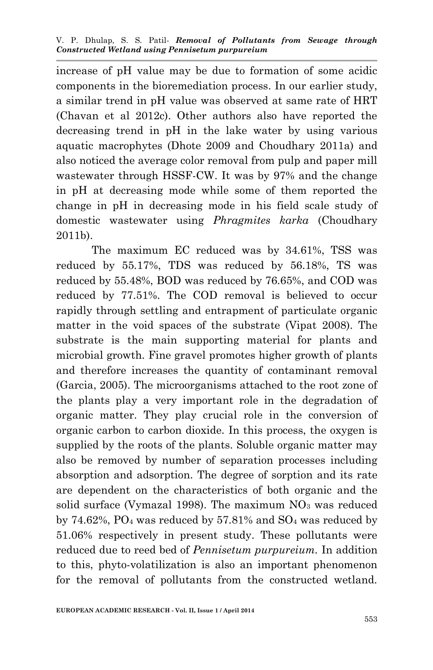increase of pH value may be due to formation of some acidic components in the bioremediation process. In our earlier study, a similar trend in pH value was observed at same rate of HRT (Chavan et al 2012c). Other authors also have reported the decreasing trend in pH in the lake water by using various aquatic macrophytes (Dhote 2009 and Choudhary 2011a) and also noticed the average color removal from pulp and paper mill wastewater through HSSF-CW. It was by 97% and the change in pH at decreasing mode while some of them reported the change in pH in decreasing mode in his field scale study of domestic wastewater using *Phragmites karka* (Choudhary 2011b).

The maximum EC reduced was by 34.61%, TSS was reduced by 55.17%, TDS was reduced by 56.18%, TS was reduced by 55.48%, BOD was reduced by 76.65%, and COD was reduced by 77.51%. The COD removal is believed to occur rapidly through settling and entrapment of particulate organic matter in the void spaces of the substrate (Vipat 2008). The substrate is the main supporting material for plants and microbial growth. Fine gravel promotes higher growth of plants and therefore increases the quantity of contaminant removal (Garcia, 2005). The microorganisms attached to the root zone of the plants play a very important role in the degradation of organic matter. They play crucial role in the conversion of organic carbon to carbon dioxide. In this process, the oxygen is supplied by the roots of the plants. Soluble organic matter may also be removed by number of separation processes including absorption and adsorption. The degree of sorption and its rate are dependent on the characteristics of both organic and the solid surface (Vymazal 1998). The maximum  $NO<sub>3</sub>$  was reduced by  $74.62\%$ , PO<sub>4</sub> was reduced by  $57.81\%$  and  $SO_4$  was reduced by 51.06% respectively in present study. These pollutants were reduced due to reed bed of *Pennisetum purpureium.* In addition to this, phyto-volatilization is also an important phenomenon for the removal of pollutants from the constructed wetland.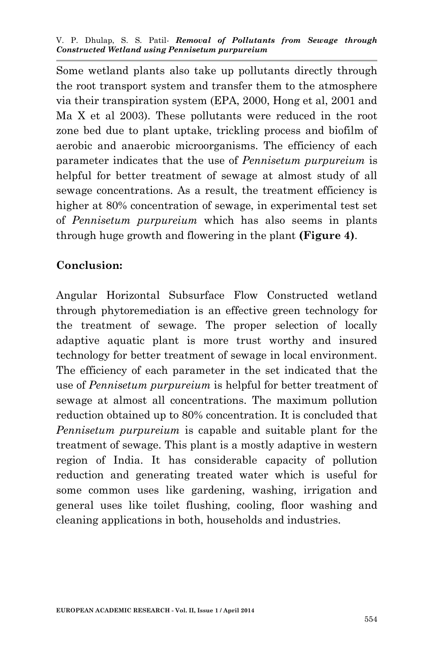Some wetland plants also take up pollutants directly through the root transport system and transfer them to the atmosphere via their transpiration system (EPA, 2000, Hong et al, 2001 and Ma X et al 2003). These pollutants were reduced in the root zone bed due to plant uptake, trickling process and biofilm of aerobic and anaerobic microorganisms. The efficiency of each parameter indicates that the use of *Pennisetum purpureium* is helpful for better treatment of sewage at almost study of all sewage concentrations. As a result, the treatment efficiency is higher at 80% concentration of sewage, in experimental test set of *Pennisetum purpureium* which has also seems in plants through huge growth and flowering in the plant **(Figure 4)**.

# **Conclusion:**

Angular Horizontal Subsurface Flow Constructed wetland through phytoremediation is an effective green technology for the treatment of sewage. The proper selection of locally adaptive aquatic plant is more trust worthy and insured technology for better treatment of sewage in local environment. The efficiency of each parameter in the set indicated that the use of *Pennisetum purpureium* is helpful for better treatment of sewage at almost all concentrations. The maximum pollution reduction obtained up to 80% concentration. It is concluded that *Pennisetum purpureium* is capable and suitable plant for the treatment of sewage. This plant is a mostly adaptive in western region of India. It has considerable capacity of pollution reduction and generating treated water which is useful for some common uses like gardening, washing, irrigation and general uses like toilet flushing, cooling, floor washing and cleaning applications in both, households and industries.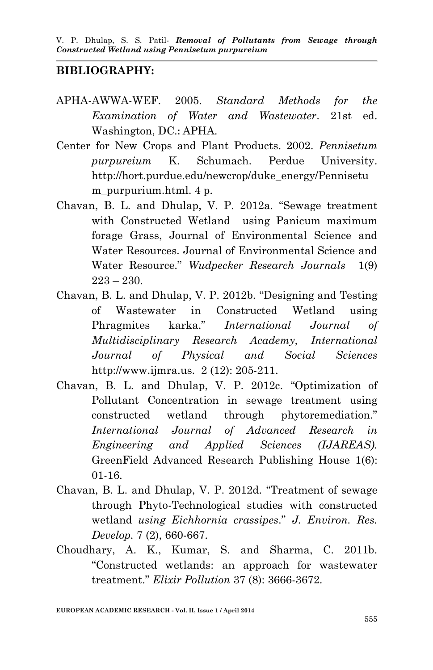### **BIBLIOGRAPHY:**

- APHA-AWWA-WEF. 2005. *Standard Methods for the Examination of Water and Wastewater*. 21st ed. Washington, DC.: APHA.
- Center for New Crops and Plant Products. 2002. *Pennisetum purpureium* K. Schumach. Perdue University. http://hort.purdue.edu/newcrop/duke\_energy/Pennisetu m purpurium.html. 4 p.
- Chavan, B. L. and Dhulap, V. P. 2012a. "Sewage treatment with Constructed Wetland using Panicum maximum forage Grass, Journal of Environmental Science and Water Resources. Journal of Environmental Science and Water Resource." *Wudpecker Research Journals* 1(9)  $223 - 230$ .
- Chavan, B. L. and Dhulap, V. P. 2012b. "Designing and Testing of Wastewater in Constructed Wetland using Phragmites karka." *International Journal of Multidisciplinary Research Academy, International Journal of Physical and Social Sciences* http://www.ijmra.us. 2 (12): 205-211.
- Chavan, B. L. and Dhulap, V. P. 2012c. "Optimization of Pollutant Concentration in sewage treatment using constructed wetland through phytoremediation." *International Journal of Advanced Research in Engineering and Applied Sciences (IJAREAS).* GreenField Advanced Research Publishing House 1(6): 01-16.
- Chavan, B. L. and Dhulap, V. P. 2012d. "Treatment of sewage through Phyto-Technological studies with constructed wetland *using Eichhornia crassipes*." *J. Environ. Res. Develop.* 7 (2), 660-667.
- Choudhary, A. K., Kumar, S. and Sharma, C. 2011b. "Constructed wetlands: an approach for wastewater treatment." *Elixir Pollution* 37 (8): 3666-3672.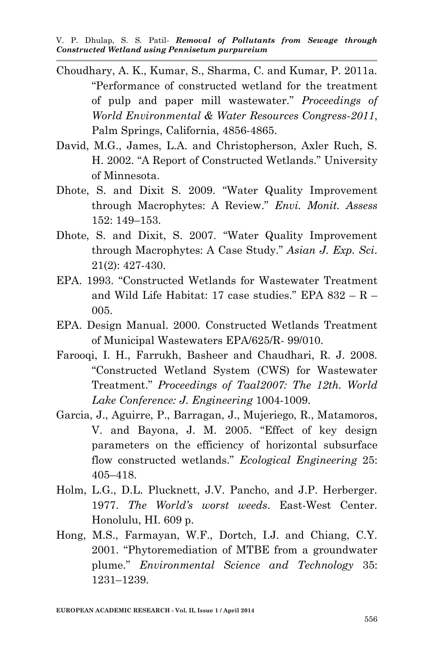- Choudhary, A. K., Kumar, S., Sharma, C. and Kumar, P. 2011a. "Performance of constructed wetland for the treatment of pulp and paper mill wastewater." *Proceedings of World Environmental & Water Resources Congress-2011*, Palm Springs, California, 4856-4865.
- David, M.G., James, L.A. and Christopherson, Axler Ruch, S. H. 2002. "A Report of Constructed Wetlands." University of Minnesota.
- Dhote, S. and Dixit S. 2009. "Water Quality Improvement through Macrophytes: A Review." *Envi. Monit. Assess* 152: 149–153.
- Dhote, S. and Dixit, S. 2007. "Water Quality Improvement through Macrophytes: A Case Study." *Asian J. Exp. Sci*. 21(2): 427-430.
- EPA. 1993. "Constructed Wetlands for Wastewater Treatment and Wild Life Habitat: 17 case studies." EPA 832 – R – 005.
- EPA. Design Manual. 2000. Constructed Wetlands Treatment of Municipal Wastewaters EPA/625/R- 99/010.
- Farooqi, I. H., Farrukh, Basheer and Chaudhari, R. J. 2008. "Constructed Wetland System (CWS) for Wastewater Treatment." *Proceedings of Taal2007: The 12th. World Lake Conference: J. Engineering* 1004-1009.
- Garcia, J., Aguirre, P., Barragan, J., Mujeriego, R., Matamoros, V. and Bayona, J. M. 2005. "Effect of key design parameters on the efficiency of horizontal subsurface flow constructed wetlands." *Ecological Engineering* 25: 405–418.
- Holm, L.G., D.L. Plucknett, J.V. Pancho, and J.P. Herberger. 1977. *The World's worst weeds*. East-West Center. Honolulu, HI. 609 p.
- Hong, M.S., Farmayan, W.F., Dortch, I.J. and Chiang, C.Y. 2001. "Phytoremediation of MTBE from a groundwater plume." *Environmental Science and Technology* 35: 1231–1239.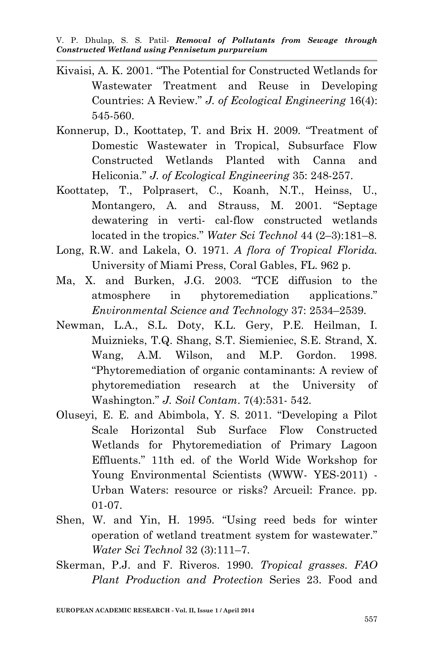- Kivaisi, A. K. 2001. "The Potential for Constructed Wetlands for Wastewater Treatment and Reuse in Developing Countries: A Review." *J. of Ecological Engineering* 16(4): 545-560.
- Konnerup, D., Koottatep, T. and Brix H. 2009. "Treatment of Domestic Wastewater in Tropical, Subsurface Flow Constructed Wetlands Planted with Canna and Heliconia." *J. of Ecological Engineering* 35: 248-257.
- Koottatep, T., Polprasert, C., Koanh, N.T., Heinss, U., Montangero, A. and Strauss, M. 2001. "Septage dewatering in verti- cal-flow constructed wetlands located in the tropics." *Water Sci Technol* 44 (2–3):181–8.
- Long, R.W. and Lakela, O. 1971. *A flora of Tropical Florida.* University of Miami Press, Coral Gables, FL. 962 p.
- Ma, X. and Burken, J.G. 2003. "TCE diffusion to the atmosphere in phytoremediation applications." *Environmental Science and Technology* 37: 2534–2539.
- Newman, L.A., S.L. Doty, K.L. Gery, P.E. Heilman, I. Muiznieks, T.Q. Shang, S.T. Siemieniec, S.E. Strand, X. Wang, A.M. Wilson, and M.P. Gordon. 1998. "Phytoremediation of organic contaminants: A review of phytoremediation research at the University of Washington." *J. Soil Contam*. 7(4):531- 542.
- Oluseyi, E. E. and Abimbola, Y. S. 2011. "Developing a Pilot Scale Horizontal Sub Surface Flow Constructed Wetlands for Phytoremediation of Primary Lagoon Effluents." 11th ed. of the World Wide Workshop for Young Environmental Scientists (WWW- YES-2011) - Urban Waters: resource or risks? Arcueil: France. pp. 01-07.
- Shen, W. and Yin, H. 1995. "Using reed beds for winter operation of wetland treatment system for wastewater." *Water Sci Technol* 32 (3):111–7.
- Skerman, P.J. and F. Riveros. 1990. *Tropical grasses. FAO Plant Production and Protection* Series 23. Food and